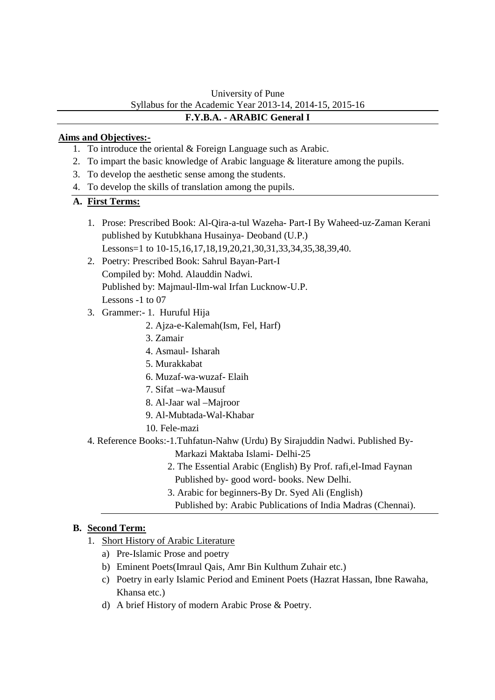### University of Pune Syllabus for the Academic Year 2013-14, 2014-15, 2015-16 **F.Y.B.A. - ARABIC General I**

## **Aims and Objectives:-**

- 1. To introduce the oriental & Foreign Language such as Arabic.
- 2. To impart the basic knowledge of Arabic language & literature among the pupils.
- 3. To develop the aesthetic sense among the students.
- 4. To develop the skills of translation among the pupils.

## **A. First Terms:**

- 1. Prose: Prescribed Book: Al-Qira-a-tul Wazeha- Part-I By Waheed-uz-Zaman Kerani published by Kutubkhana Husainya- Deoband (U.P.) Lessons=1 to 10-15,16,17,18,19,20,21,30,31,33,34,35,38,39,40.
- 2. Poetry: Prescribed Book: Sahrul Bayan-Part-I Compiled by: Mohd. Alauddin Nadwi. Published by: Majmaul-Ilm-wal Irfan Lucknow-U.P. Lessons -1 to 07
- 3. Grammer:- 1. Huruful Hija
	- 2. Ajza-e-Kalemah(Ism, Fel, Harf)
	- 3. Zamair
	- 4. Asmaul- Isharah
	- 5. Murakkabat
	- 6. Muzaf-wa-wuzaf- Elaih
	- 7. Sifat –wa-Mausuf
	- 8. Al-Jaar wal –Majroor
	- 9. Al-Mubtada-Wal-Khabar
	- 10. Fele-mazi
- 4. Reference Books:-1.Tuhfatun-Nahw (Urdu) By Sirajuddin Nadwi. Published By-
	- Markazi Maktaba Islami- Delhi-25
	- 2. The Essential Arabic (English) By Prof. rafi,el-Imad Faynan Published by- good word- books. New Delhi.
	- 3. Arabic for beginners-By Dr. Syed Ali (English)
	- Published by: Arabic Publications of India Madras (Chennai).

# **B. Second Term:**

- 1. Short History of Arabic Literature
	- a) Pre-Islamic Prose and poetry
	- b) Eminent Poets(Imraul Qais, Amr Bin Kulthum Zuhair etc.)
	- c) Poetry in early Islamic Period and Eminent Poets (Hazrat Hassan, Ibne Rawaha, Khansa etc.)
	- d) A brief History of modern Arabic Prose & Poetry.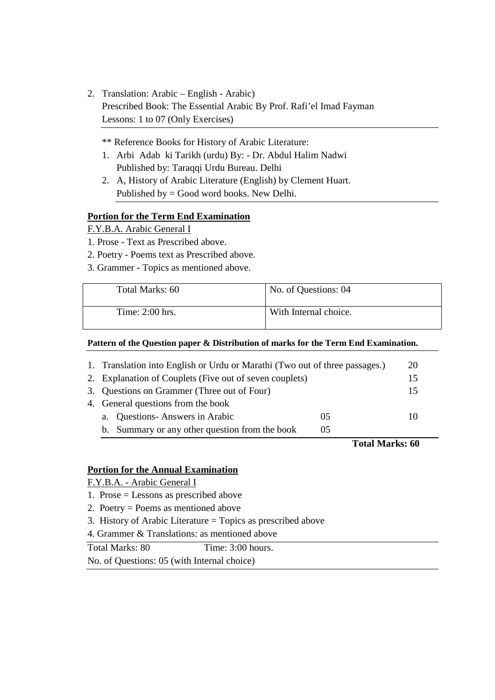- 2. Translation: Arabic English Arabic) Prescribed Book: The Essential Arabic By Prof. Rafi'el Imad Fayman Lessons: 1 to 07 (Only Exercises)
	- \*\* Reference Books for History of Arabic Literature:
	- 1. Arbi Adab ki Tarikh (urdu) By: Dr. Abdul Halim Nadwi Published by: Taraqqi Urdu Bureau. Delhi
	- 2. A, History of Arabic Literature (English) by Clement Huart. Published by = Good word books. New Delhi.

## **Portion for the Term End Examination**

F.Y.B.A. Arabic General I

- 1. Prose Text as Prescribed above.
- 2. Poetry Poems text as Prescribed above.
- 3. Grammer Topics as mentioned above.

| Total Marks: 60   | No. of Questions: 04  |
|-------------------|-----------------------|
| Time: $2:00$ hrs. | With Internal choice. |

#### **Pattern of the Question paper & Distribution of marks for the Term End Examination.**

| 1. Translation into English or Urdu or Marathi (Two out of three passages.) |     |                        |  |  |
|-----------------------------------------------------------------------------|-----|------------------------|--|--|
| 2. Explanation of Couplets (Five out of seven couplets)                     |     |                        |  |  |
| 3. Questions on Grammer (Three out of Four)                                 |     |                        |  |  |
| 4. General questions from the book                                          |     |                        |  |  |
| <b>Questions-Answers in Arabic</b><br>a.                                    | 0.5 | 10                     |  |  |
| b. Summary or any other question from the book                              | 05  |                        |  |  |
|                                                                             |     | <b>Total Marks: 60</b> |  |  |

#### **Portion for the Annual Examination**

F.Y.B.A. - Arabic General I

- 1. Prose = Lessons as prescribed above
- 2. Poetry = Poems as mentioned above
- 3. History of Arabic Literature = Topics as prescribed above
- 4. Grammer & Translations: as mentioned above

|              | Total Marks: 80 |  |  |  |  | Time: 3:00 hours. |  |
|--------------|-----------------|--|--|--|--|-------------------|--|
| $\mathbf{v}$ |                 |  |  |  |  |                   |  |

No. of Questions: 05 (with Internal choice)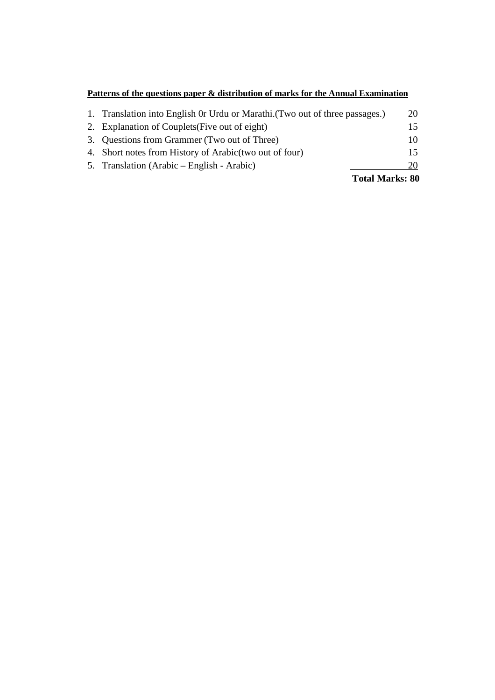# **Patterns of the questions paper & distribution of marks for the Annual Examination**

| 5. Translation (Arabic – English - Arabic)                                   | 20 |
|------------------------------------------------------------------------------|----|
|                                                                              |    |
| 4. Short notes from History of Arabic (two out of four)                      | 15 |
| 3. Questions from Grammer (Two out of Three)                                 | 10 |
| 2. Explanation of Couplets (Five out of eight)                               | 15 |
| 1. Translation into English 0r Urdu or Marathi. (Two out of three passages.) | 20 |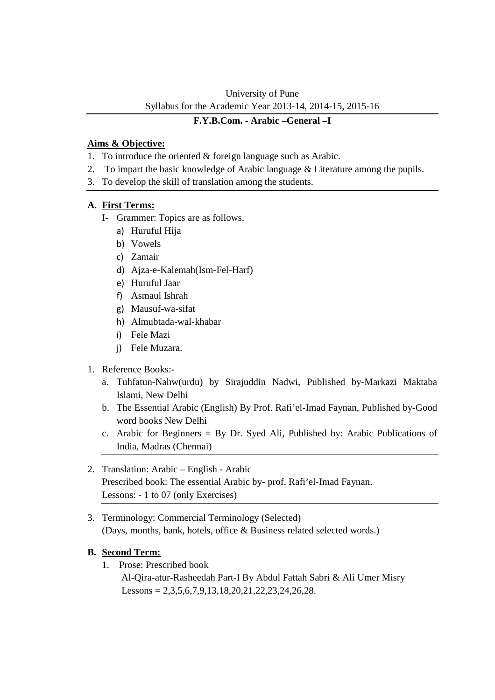# University of Pune Syllabus for the Academic Year 2013-14, 2014-15, 2015-16

#### **F.Y.B.Com. - Arabic –General –I**

## **Aims & Objective:**

- 1. To introduce the oriented & foreign language such as Arabic.
- 2. To impart the basic knowledge of Arabic language & Literature among the pupils.
- 3. To develop the skill of translation among the students.

## **A. First Terms:**

- I- Grammer: Topics are as follows.
	- a) Huruful Hija
	- b) Vowels
	- c) Zamair
	- d) Ajza-e-Kalemah(Ism-Fel-Harf)
	- e) Huruful Jaar
	- f) Asmaul Ishrah
	- g) Mausuf-wa-sifat
	- h) Almubtada-wal-khabar
	- i) Fele Mazi
	- j) Fele Muzara.

#### 1. Reference Books:-

- a. Tuhfatun-Nahw(urdu) by Sirajuddin Nadwi, Published by-Markazi Maktaba Islami, New Delhi
- b. The Essential Arabic (English) By Prof. Rafi'el-Imad Faynan, Published by-Good word books New Delhi
- c. Arabic for Beginners = By Dr. Syed Ali, Published by: Arabic Publications of India, Madras (Chennai)
- 2. Translation: Arabic English Arabic Prescribed book: The essential Arabic by- prof. Rafi'el-Imad Faynan. Lessons: - 1 to 07 (only Exercises)
- 3. Terminology: Commercial Terminology (Selected) (Days, months, bank, hotels, office & Business related selected words.)

# **B. Second Term:**

1. Prose: Prescribed book

 Al-Qira-atur-Rasheedah Part-I By Abdul Fattah Sabri & Ali Umer Misry Lessons =  $2,3,5,6,7,9,13,18,20,21,22,23,24,26,28$ .